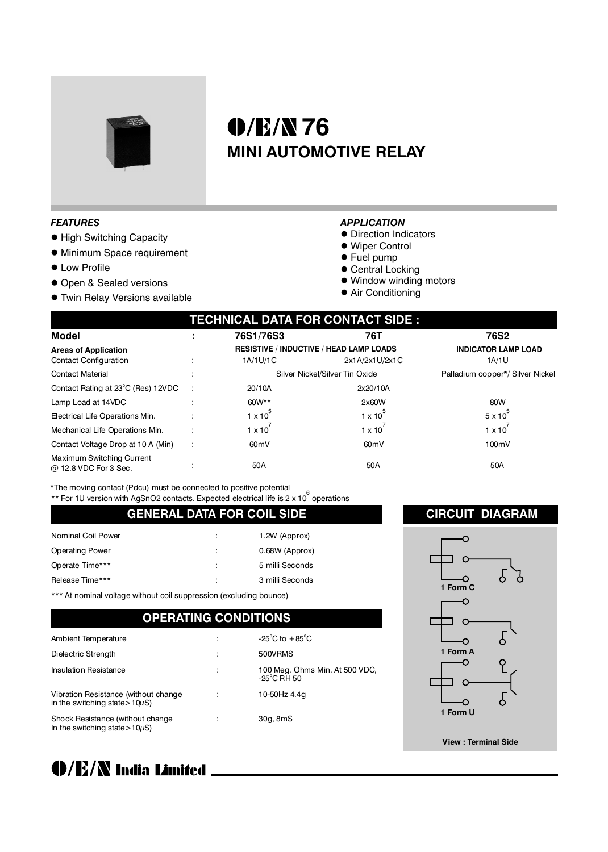

# **0/E/N76 MINI AUTOMOTIVE RELAY**

#### *FEATURES*

- $\bullet$  High Switching Capacity
- $\bullet$  Minimum Space requirement
- **Low Profile**
- **.** Open & Sealed versions
- **Twin Relay Versions available**

#### *APPLICATION*

- **Direction Indicators**
- $\bullet$  Wiper Control
- Fuel pump
- Central Locking
- $\bullet$  Window winding motors
- Air Conditioning

| TECHNICAL DATA FOR CONTACT SIDE : |
|-----------------------------------|
|                                   |

| Model                                              |   | 76S1/76S3                      | 76T                                            | 76S2                             |
|----------------------------------------------------|---|--------------------------------|------------------------------------------------|----------------------------------|
| <b>Areas of Application</b>                        |   |                                | <b>RESISTIVE / INDUCTIVE / HEAD LAMP LOADS</b> | <b>INDICATOR LAMP LOAD</b>       |
| <b>Contact Configuration</b>                       |   | 1A/1U/1C                       | 2x1A/2x1U/2x1C                                 | 1A/1U                            |
| <b>Contact Material</b>                            |   | Silver Nickel/Silver Tin Oxide |                                                | Palladium copper*/ Silver Nickel |
| Contact Rating at 23 <sup>°</sup> C (Res) 12VDC    |   | 20/10A                         | 2x20/10A                                       |                                  |
| Lamp Load at 14VDC                                 |   | 60W**                          | 2x60W                                          | 80W                              |
| Electrical Life Operations Min.                    |   | $1 \times 10^{7}$              | $1 \times 10^{10}$                             | $5 \times 10^{-7}$               |
| Mechanical Life Operations Min.                    |   | $1 \times 10^{-7}$             | $1 \times 10^{-7}$                             | $1 \times 10^{-7}$               |
| Contact Voltage Drop at 10 A (Min)                 | ÷ | 60 <sub>m</sub> V              | 60 <sub>m</sub> V                              | 100mV                            |
| Maximum Switching Current<br>@ 12.8 VDC For 3 Sec. |   | 50A                            | 50A                                            | 50A                              |

\*The moving contact (Pdcu) must be connected to positive potential

\*\* For 1U version with AgSnO2 contacts. Expected electrical life is 2 x 10<sup>6</sup> operations

#### **GENERAL DATA FOR COIL SIDE**

| Nominal Coil Power     | 1.2W (Approx)   |
|------------------------|-----------------|
| <b>Operating Power</b> | 0.68W (Approx)  |
| Operate Time***        | 5 milli Seconds |
| Release Time***        | 3 milli Seconds |
|                        |                 |

\*\*\* At nominal voltage without coil suppression (excluding bounce)

### **OPERATING CONDITIONS**

| Ambient Temperature                                                         | -25 <sup>°</sup> C to $+85$ <sup>°</sup> C              |
|-----------------------------------------------------------------------------|---------------------------------------------------------|
| Dielectric Strength                                                         | 500VRMS                                                 |
| <b>Insulation Resistance</b>                                                | 100 Meg. Ohms Min. At 500 VDC,<br>$-25^{\circ}$ C RH 50 |
| Vibration Resistance (without change<br>in the switching state > $10\mu$ S) | 10-50Hz 4.4g                                            |
| Shock Resistance (without change<br>In the switching state > $10\mu$ S)     | 30g, 8mS                                                |

#### **CIRCUIT DIAGRAM**



## (D/E/N India Limited